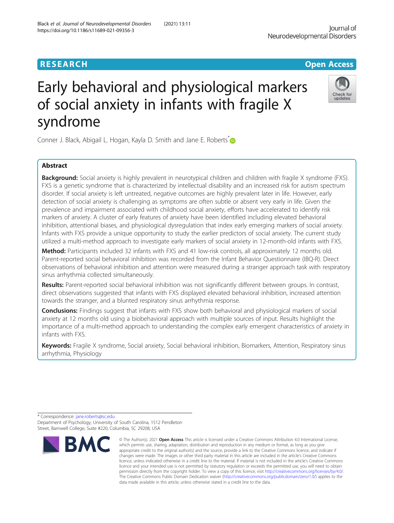# Early behavioral and physiological markers of social anxiety in infants with fragile X syndrome

Conner J. Black, Abigail L. Hogan, Kayla D. Smith and Jane E. Roberts <sup>[\\*](http://orcid.org/0000-0001-6924-0596)</sup>

# Abstract

Background: Social anxiety is highly prevalent in neurotypical children and children with fragile X syndrome (FXS). FXS is a genetic syndrome that is characterized by intellectual disability and an increased risk for autism spectrum disorder. If social anxiety is left untreated, negative outcomes are highly prevalent later in life. However, early detection of social anxiety is challenging as symptoms are often subtle or absent very early in life. Given the prevalence and impairment associated with childhood social anxiety, efforts have accelerated to identify risk markers of anxiety. A cluster of early features of anxiety have been identified including elevated behavioral inhibition, attentional biases, and physiological dysregulation that index early emerging markers of social anxiety. Infants with FXS provide a unique opportunity to study the earlier predictors of social anxiety. The current study utilized a multi-method approach to investigate early markers of social anxiety in 12-month-old infants with FXS.

Method: Participants included 32 infants with FXS and 41 low-risk controls, all approximately 12 months old. Parent-reported social behavioral inhibition was recorded from the Infant Behavior Questionnaire (IBQ-R). Direct observations of behavioral inhibition and attention were measured during a stranger approach task with respiratory sinus arrhythmia collected simultaneously.

Results: Parent-reported social behavioral inhibition was not significantly different between groups. In contrast, direct observations suggested that infants with FXS displayed elevated behavioral inhibition, increased attention towards the stranger, and a blunted respiratory sinus arrhythmia response.

Conclusions: Findings suggest that infants with FXS show both behavioral and physiological markers of social anxiety at 12 months old using a biobehavioral approach with multiple sources of input. Results highlight the importance of a multi-method approach to understanding the complex early emergent characteristics of anxiety in infants with FXS.

Keywords: Fragile X syndrome, Social anxiety, Social behavioral inhibition, Biomarkers, Attention, Respiratory sinus arrhythmia, Physiology

**RMC** 



**RESEARCH CHINESE ARCH CHINESE ARCHITECT ARCHITECT ARCHITECT ARCHITECT ARCHITECT ARCHITECT ARCHITECT ARCHITECT ARCHITECT ARCHITECT ARCHITECT ARCHITECT ARCHITECT ARCHITECT ARCHITECT ARCHITECT ARCHITECT ARCHITECT ARCHITE** 



<sup>\*</sup> Correspondence: [jane.roberts@sc.edu](mailto:jane.roberts@sc.edu) Department of Psychology, University of South Carolina, 1512 Pendleton Street, Barnwell College, Suite #220, Columbia, SC 29208, USA

which permits use, sharing, adaptation, distribution and reproduction in any medium or format, as long as you give appropriate credit to the original author(s) and the source, provide a link to the Creative Commons licence, and indicate if changes were made. The images or other third party material in this article are included in the article's Creative Commons licence, unless indicated otherwise in a credit line to the material. If material is not included in the article's Creative Commons licence and your intended use is not permitted by statutory regulation or exceeds the permitted use, you will need to obtain permission directly from the copyright holder. To view a copy of this licence, visit [http://creativecommons.org/licenses/by/4.0/.](http://creativecommons.org/licenses/by/4.0/) The Creative Commons Public Domain Dedication waiver [\(http://creativecommons.org/publicdomain/zero/1.0/](http://creativecommons.org/publicdomain/zero/1.0/)) applies to the data made available in this article, unless otherwise stated in a credit line to the data.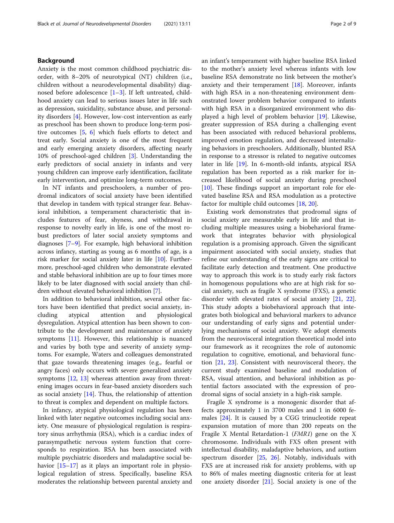# Background

Anxiety is the most common childhood psychiatric disorder, with 8–20% of neurotypical (NT) children (i.e., children without a neurodevelopmental disability) diagnosed before adolescence [[1](#page-7-0)–[3](#page-7-0)]. If left untreated, childhood anxiety can lead to serious issues later in life such as depression, suicidality, substance abuse, and personality disorders [[4\]](#page-7-0). However, low-cost intervention as early as preschool has been shown to produce long-term positive outcomes [[5,](#page-7-0) [6\]](#page-7-0) which fuels efforts to detect and treat early. Social anxiety is one of the most frequent and early emerging anxiety disorders, affecting nearly 10% of preschool-aged children [[3\]](#page-7-0). Understanding the early predictors of social anxiety in infants and very young children can improve early identification, facilitate early intervention, and optimize long-term outcomes.

In NT infants and preschoolers, a number of prodromal indicators of social anxiety have been identified that develop in tandem with typical stranger fear. Behavioral inhibition, a temperament characteristic that includes features of fear, shyness, and withdrawal in response to novelty early in life, is one of the most robust predictors of later social anxiety symptoms and diagnoses [[7](#page-7-0)–[9\]](#page-7-0). For example, high behavioral inhibition across infancy, starting as young as 6 months of age, is a risk marker for social anxiety later in life [[10](#page-7-0)]. Furthermore, preschool-aged children who demonstrate elevated and stable behavioral inhibition are up to four times more likely to be later diagnosed with social anxiety than children without elevated behavioral inhibition [[7](#page-7-0)].

In addition to behavioral inhibition, several other factors have been identified that predict social anxiety, including atypical attention and physiological dysregulation. Atypical attention has been shown to contribute to the development and maintenance of anxiety symptoms [[11\]](#page-7-0). However, this relationship is nuanced and varies by both type and severity of anxiety symptoms. For example, Waters and colleagues demonstrated that gaze towards threatening images (e.g., fearful or angry faces) only occurs with severe generalized anxiety symptoms [[12](#page-7-0), [13](#page-7-0)] whereas attention away from threatening images occurs in fear-based anxiety disorders such as social anxiety  $[14]$  $[14]$ . Thus, the relationship of attention to threat is complex and dependent on multiple factors.

In infancy, atypical physiological regulation has been linked with later negative outcomes including social anxiety. One measure of physiological regulation is respiratory sinus arrhythmia (RSA), which is a cardiac index of parasympathetic nervous system function that corresponds to respiration. RSA has been associated with multiple psychiatric disorders and maladaptive social be-havior [[15](#page-7-0)–[17](#page-8-0)] as it plays an important role in physiological regulation of stress. Specifically, baseline RSA moderates the relationship between parental anxiety and an infant's temperament with higher baseline RSA linked to the mother's anxiety level whereas infants with low baseline RSA demonstrate no link between the mother's anxiety and their temperament  $[18]$  $[18]$ . Moreover, infants with high RSA in a non-threatening environment demonstrated lower problem behavior compared to infants with high RSA in a disorganized environment who displayed a high level of problem behavior [\[19\]](#page-8-0). Likewise, greater suppression of RSA during a challenging event has been associated with reduced behavioral problems, improved emotion regulation, and decreased internalizing behaviors in preschoolers. Additionally, blunted RSA in response to a stressor is related to negative outcomes later in life [\[19](#page-8-0)]. In 6-month-old infants, atypical RSA regulation has been reported as a risk marker for increased likelihood of social anxiety during preschool [[10\]](#page-7-0). These findings support an important role for elevated baseline RSA and RSA modulation as a protective factor for multiple child outcomes [\[18](#page-8-0), [20](#page-8-0)].

Existing work demonstrates that prodromal signs of social anxiety are measurable early in life and that including multiple measures using a biobehavioral framework that integrates behavior with physiological regulation is a promising approach. Given the significant impairment associated with social anxiety, studies that refine our understanding of the early signs are critical to facilitate early detection and treatment. One productive way to approach this work is to study early risk factors in homogenous populations who are at high risk for social anxiety, such as fragile X syndrome (FXS), a genetic disorder with elevated rates of social anxiety [\[21](#page-8-0), [22](#page-8-0)]. This study adopts a biobehavioral approach that integrates both biological and behavioral markers to advance our understanding of early signs and potential underlying mechanisms of social anxiety. We adopt elements from the neurovisceral integration theoretical model into our framework as it recognizes the role of autonomic regulation to cognitive, emotional, and behavioral function [[21](#page-8-0), [23\]](#page-8-0). Consistent with neurovisceral theory, the current study examined baseline and modulation of RSA, visual attention, and behavioral inhibition as potential factors associated with the expression of prodromal signs of social anxiety in a high-risk sample.

Fragile X syndrome is a monogenic disorder that affects approximately 1 in 3700 males and 1 in 6000 females [[24](#page-8-0)]. It is caused by a CGG trinucleotide repeat expansion mutation of more than 200 repeats on the Fragile X Mental Retardation-1 (FMR1) gene on the X chromosome. Individuals with FXS often present with intellectual disability, maladaptive behaviors, and autism spectrum disorder [[25](#page-8-0), [26](#page-8-0)]. Notably, individuals with FXS are at increased risk for anxiety problems, with up to 86% of males meeting diagnostic criteria for at least one anxiety disorder [[21\]](#page-8-0). Social anxiety is one of the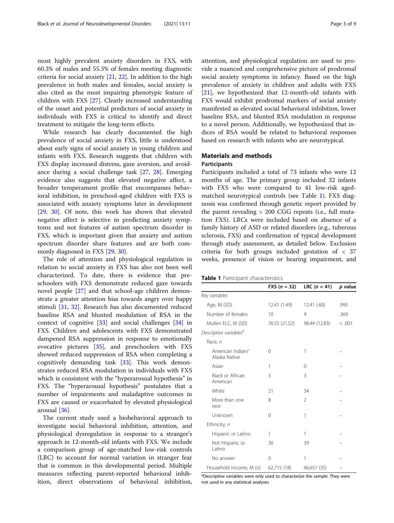most highly prevalent anxiety disorders in FXS, with 60.3% of males and 55.3% of females meeting diagnostic criteria for social anxiety  $[21, 22]$  $[21, 22]$  $[21, 22]$ . In addition to the high prevalence in both males and females, social anxiety is also cited as the most impairing phenotypic feature of children with FXS [[27\]](#page-8-0). Clearly increased understanding of the onset and potential predictors of social anxiety in individuals with FXS is critical to identify and direct treatment to mitigate the long-term effects.

While research has clearly documented the high prevalence of social anxiety in FXS, little is understood about early signs of social anxiety in young children and infants with FXS. Research suggests that children with FXS display increased distress, gaze aversion, and avoidance during a social challenge task [[27,](#page-8-0) [28](#page-8-0)]. Emerging evidence also suggests that elevated negative affect, a broader temperament profile that encompasses behavioral inhibition, in preschool-aged children with FXS is associated with anxiety symptoms later in development [[29,](#page-8-0) [30](#page-8-0)]. Of note, this work has shown that elevated negative affect is selective in predicting anxiety symptoms and not features of autism spectrum disorder in FXS, which is important given that anxiety and autism spectrum disorder share features and are both commonly diagnosed in FXS [[29,](#page-8-0) [30\]](#page-8-0).

The role of attention and physiological regulation in relation to social anxiety in FXS has also not been well characterized. To date, there is evidence that preschoolers with FXS demonstrate reduced gaze towards novel people [[27\]](#page-8-0) and that school-age children demonstrate a greater attention bias towards angry over happy stimuli [[31,](#page-8-0) [32](#page-8-0)]. Research has also documented reduced baseline RSA and blunted modulation of RSA in the context of cognitive [[33](#page-8-0)] and social challenges [[34\]](#page-8-0) in FXS. Children and adolescents with FXS demonstrated dampened RSA suppression in response to emotionally evocative pictures [[35](#page-8-0)], and preschoolers with FXS showed reduced suppression of RSA when completing a cognitively demanding task [\[33\]](#page-8-0). This work demonstrates reduced RSA modulation in individuals with FXS which is consistent with the "hyperarousal hypothesis" in FXS. The "hyperarousal hypothesis" postulates that a number of impairments and maladaptive outcomes in FXS are caused or exacerbated by elevated physiological arousal [\[36\]](#page-8-0).

The current study used a biobehavioral approach to investigate social behavioral inhibition, attention, and physiological dysregulation in response to a stranger's approach in 12-month-old infants with FXS. We include a comparison group of age-matched low-risk controls (LRC) to account for normal variation in stranger fear that is common in this developmental period. Multiple measures reflecting parent-reported behavioral inhibition, direct observations of behavioral inhibition, attention, and physiological regulation are used to provide a nuanced and comprehensive picture of prodromal social anxiety symptoms in infancy. Based on the high prevalence of anxiety in children and adults with FXS [[21\]](#page-8-0), we hypothesized that 12-month-old infants with FXS would exhibit prodromal markers of social anxiety manifested as elevated social behavioral inhibition, lower baseline RSA, and blunted RSA modulation in response to a novel person. Additionally, we hypothesized that indices of RSA would be related to behavioral responses based on research with infants who are neurotypical.

# Materials and methods

# **Participants**

Participants included a total of 73 infants who were 12 months of age. The primary group included 32 infants with FXS who were compared to 41 low-risk agedmatched neurotypical controls (see Table 1). FXS diagnosis was confirmed through genetic report provided by the parent revealing > 200 CGG repeats (i.e., full mutation FXS). LRCs were included based on absence of a family history of ASD or related disorders (e.g., tuberous sclerosis, FXS) and confirmation of typical development through study assessment, as detailed below. Exclusion criteria for both groups included gestation of < 37 weeks, presence of vision or hearing impairment, and

| Table 1 Participant characteristics |  |
|-------------------------------------|--|
|-------------------------------------|--|

|                                    | <b>FXS</b> $(n = 32)$ | <b>LRC</b> $(n = 41)$ | p value |
|------------------------------------|-----------------------|-----------------------|---------|
| Key variables                      |                       |                       |         |
| Age, M (SD)                        | 12.41 (1.49)          | 12.41 (.60)           | .995    |
| Number of females                  | 10                    | 9                     | .369    |
| Mullen ELC, M (SD)                 | 76.55 (21.52)         | 98.44 (12.83)         | < .001  |
| Descriptive variables <sup>a</sup> |                       |                       |         |
| Race, n                            |                       |                       |         |
| American Indian/<br>Alaska Native  | $\Omega$              | 1                     |         |
| Asian                              | 1                     | 0                     |         |
| Black or African<br>American       | 3                     | 3                     |         |
| White                              | 21                    | 34                    |         |
| More than one<br>race              | 8                     | $\mathfrak{D}$        |         |
| Unknown                            | 0                     | 1                     |         |
| Ethnicity, n                       |                       |                       |         |
| Hispanic or Latino                 | 1                     | 1                     |         |
| Not Hispanic or<br>Latino          | 30                    | 39                    |         |
| No answer                          | 0                     | 1                     |         |
| Household income, M (n)            | 62,715 (18)           | 66,657 (35)           |         |

<sup>a</sup>Descriptive variables were only used to characterize the sample. They were not used in any statistical analyses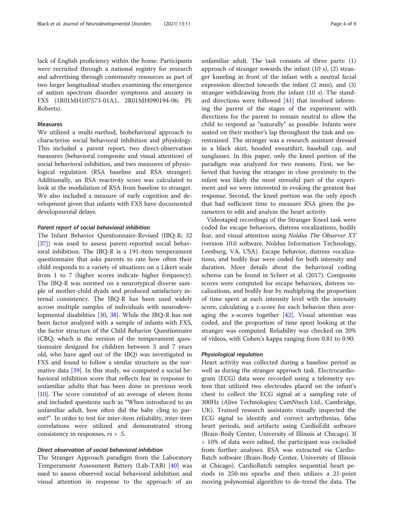lack of English proficiency within the home. Participants were recruited through a national registry for research and advertising through community resources as part of two larger longitudinal studies examining the emergence of autism spectrum disorder symptoms and anxiety in FXS (1R01MH107573-01A1, 2R01MH090194-06; PI: Roberts).

# Measures

We utilized a multi-method, biobehavioral approach to characterize social behavioral inhibition and physiology. This included a parent report, two direct-observation measures (behavioral composite and visual attention) of social behavioral inhibition, and two measures of physiological regulation (RSA baseline and RSA stranger). Additionally, an RSA reactivity score was calculated to look at the modulation of RSA from baseline to stranger. We also included a measure of early cognition and development given that infants with FXS have documented developmental delays.

### Parent report of social behavioral inhibition

The Infant Behavior Questionnaire-Revised (IBQ-R; 32 [[37\]](#page-8-0)) was used to assess parent-reported social behavioral inhibition. The IBQ-R is a 191-item temperament questionnaire that asks parents to rate how often their child responds to a variety of situations on a Likert scale from 1 to 7 (higher scores indicate higher frequency). The IBQ-R was normed on a neurotypical diverse sample of mother-child dyads and produced satisfactory internal consistency. The IBQ-R has been used widely across multiple samples of individuals with neurodevelopmental disabilities [[30](#page-8-0), [38](#page-8-0)]. While the IBQ-R has not been factor analyzed with a sample of infants with FXS, the factor structure of the Child Behavior Questionnaire (CBQ; which is the version of the temperament questionnaire designed for children between 3 and 7 years old, who have aged out of the IBQ) was investigated in FXS and found to follow a similar structure as the normative data [\[39](#page-8-0)]. In this study, we computed a social behavioral inhibition score that reflects fear in response to unfamiliar adults that has been done in previous work [[10\]](#page-7-0). The score consisted of an average of eleven items and included questions such as "When introduced to an unfamiliar adult, how often did the baby cling to parent?". In order to test for inter-item reliability, inter-item correlations were utilized and demonstrated strong consistency in responses,  $rs > .5$ .

# Direct observation of social behavioral inhibition

The Stranger Approach paradigm from the Laboratory Temperament Assessment Battery (Lab-TAB) [[40\]](#page-8-0) was used to assess observed social behavioral inhibition and visual attention in response to the approach of an

unfamiliar adult. The task consists of three parts: (1) approach of stranger towards the infant (10 s), (2) stranger kneeling in front of the infant with a neutral facial expression directed towards the infant (2 min), and (3) stranger withdrawing from the infant (10 s). The standard directions were followed [[41\]](#page-8-0) that involved informing the parent of the stages of the experiment with directions for the parent to remain neutral to allow the child to respond as "naturally" as possible. Infants were seated on their mother's lap throughout the task and unrestrained. The stranger was a research assistant dressed in a black skirt, hooded sweatshirt, baseball cap, and sunglasses. In this paper, only the kneel portion of the paradigm was analyzed for two reasons. First, we believed that having the stranger in close proximity to the infant was likely the most stressful part of the experiment and we were interested in evoking the greatest fear response. Second, the kneel portion was the only epoch that had sufficient time to measure RSA given the parameters to edit and analyze the heart activity.

Videotaped recordings of the Stranger Kneel task were coded for escape behaviors, distress vocalizations, bodily fear, and visual attention using Noldus The Observer XT (version 10.0 software, Noldus Information Technology, Leesburg, VA, USA). Escape behavior, distress vocalizations, and bodily fear were coded for both intensity and duration. More details about the behavioral coding scheme can be found in Scherr et al. (2017). Composite scores were computed for escape behaviors, distress vocalizations, and bodily fear by multiplying the proportion of time spent at each intensity level with the intensity score, calculating a z-score for each behavior then averaging the z-scores together  $[42]$  $[42]$  $[42]$ . Visual attention was coded, and the proportion of time spent looking at the stranger was computed. Reliability was checked on 20% of videos, with Cohen's kappa ranging from 0.81 to 0.90.

#### Physiological regulation

Heart activity was collected during a baseline period as well as during the stranger approach task. Electrocardiogram (ECG) data were recorded using a telemetry system that utilized two electrodes placed on the infant's chest to collect the ECG signal at a sampling rate of 300Hz (Alive Technologies; CamNtech Ltd., Cambridge, UK). Trained research assistants visually inspected the ECG signal to identify and correct arrhythmias, false heart periods, and artifacts using CardioEdit software (Brain-Body Center, University of Illinois at Chicago). If > 10% of data were edited, the participant was excluded from further analyses. RSA was extracted via Cardio-Batch software (Brain-Body Center, University of Illinois at Chicago). CardioBatch samples sequential heart periods in 250-ms epochs and then utilizes a 21-point moving polynomial algorithm to de-trend the data. The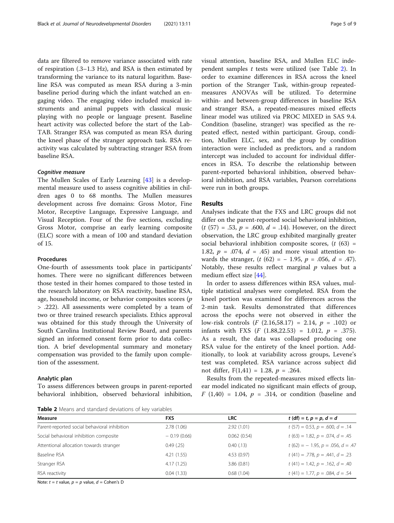data are filtered to remove variance associated with rate of respiration (.3–1.3 Hz), and RSA is then estimated by transforming the variance to its natural logarithm. Baseline RSA was computed as mean RSA during a 3-min baseline period during which the infant watched an engaging video. The engaging video included musical in-

struments and animal puppets with classical music playing with no people or language present. Baseline heart activity was collected before the start of the Lab-TAB. Stranger RSA was computed as mean RSA during the kneel phase of the stranger approach task. RSA reactivity was calculated by subtracting stranger RSA from baseline RSA.

## Cognitive measure

The Mullen Scales of Early Learning [\[43](#page-8-0)] is a developmental measure used to assess cognitive abilities in children ages 0 to 68 months. The Mullen measures development across five domains: Gross Motor, Fine Motor, Receptive Language, Expressive Language, and Visual Reception. Four of the five sections, excluding Gross Motor, comprise an early learning composite (ELC) score with a mean of 100 and standard deviation of 15.

#### Procedures

One-fourth of assessments took place in participants' homes. There were no significant differences between those tested in their homes compared to those tested in the research laboratory on RSA reactivity, baseline RSA, age, household income, or behavior composites scores  $(p)$ > .222). All assessments were completed by a team of two or three trained research specialists. Ethics approval was obtained for this study through the University of South Carolina Institutional Review Board, and parents signed an informed consent form prior to data collection. A brief developmental summary and monetary compensation was provided to the family upon completion of the assessment.

#### Analytic plan

To assess differences between groups in parent-reported behavioral inhibition, observed behavioral inhibition,

Table 2 Means and standard deviations of key variables

visual attention, baseline RSA, and Mullen ELC independent samples  $t$  tests were utilized (see Table 2). In order to examine differences in RSA across the kneel portion of the Stranger Task, within-group repeatedmeasures ANOVAs will be utilized. To determine within- and between-group differences in baseline RSA and stranger RSA, a repeated-measures mixed effects linear model was utilized via PROC MIXED in SAS 9.4. Condition (baseline, stranger) was specified as the repeated effect, nested within participant. Group, condition, Mullen ELC, sex, and the group by condition interaction were included as predictors, and a random intercept was included to account for individual differences in RSA. To describe the relationship between parent-reported behavioral inhibition, observed behavioral inhibition, and RSA variables, Pearson correlations

### Results

were run in both groups.

Analyses indicate that the FXS and LRC groups did not differ on the parent-reported social behavioral inhibition,  $(t (57) = .53, p = .600, d = .14)$ . However, on the direct observation, the LRC group exhibited marginally greater social behavioral inhibition composite scores,  $(t (63) =$ 1.82,  $p = .074$ ,  $d = .45$ ) and more visual attention towards the stranger,  $(t (62) = -1.95, p = .056, d = .47)$ . Notably, these results reflect marginal  $p$  values but a medium effect size [[44](#page-8-0)].

In order to assess differences within RSA values, multiple statistical analyses were completed. RSA from the kneel portion was examined for differences across the 2-min task. Results demonstrated that differences across the epochs were not observed in either the low-risk controls (*F* (2.16,58.17) = 2.14,  $p = .102$ ) or infants with FXS (*F* (1.88,22.53) = 1.012,  $p = .375$ ). As a result, the data was collapsed producing one RSA value for the entirety of the kneel portion. Additionally, to look at variability across groups, Levene's test was completed. RSA variance across subject did not differ,  $F(1,41) = 1.28$ ,  $p = .264$ .

Results from the repeated-measures mixed effects linear model indicated no significant main effects of group,  $F(1,40) = 1.04$ ,  $p = .314$ , or condition (baseline and

| <b>Measure</b>                               | <b>FXS</b>    | <b>LRC</b>  | $t (df) = t, p = p, d = d$               |
|----------------------------------------------|---------------|-------------|------------------------------------------|
| Parent-reported social behavioral inhibition | 2.78(1.06)    | 2.92(1.01)  | $t(57) = 0.53, p = .600, d = .14$        |
| Social behavioral inhibition composite       | $-0.19(0.66)$ | 0.062(0.54) | $t(63) = 1.82, p = .074, d = .45$        |
| Attentional allocation towards stranger      | 0.49(0.25)    | 0.40(0.13)  | $t(62) = -1.95$ , $p = .056$ , $d = .47$ |
| Baseline RSA                                 | 4.21(1.55)    | 4.53(0.97)  | $t(41) = .778$ , $p = .441$ , $d = .23$  |
| Stranger RSA                                 | 4.17(1.25)    | 3.86(0.81)  | $t(41) = 1.42, p = .162, d = .40$        |
| RSA reactivity                               | 0.04(1.33)    | 0.68(1.04)  | $t(41) = 1.77$ , $p = .084$ , $d = .54$  |

Note:  $t = t$  value,  $p = p$  value,  $d = \text{Cohen's } D$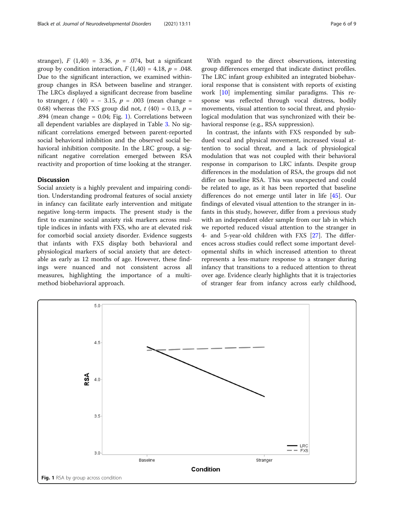stranger),  $F(1,40) = 3.36$ ,  $p = .074$ , but a significant group by condition interaction,  $F(1,40) = 4.18$ ,  $p = .048$ . Due to the significant interaction, we examined withingroup changes in RSA between baseline and stranger. The LRCs displayed a significant decrease from baseline to stranger, t (40) =  $-3.15$ , p = .003 (mean change = 0.68) whereas the FXS group did not,  $t$  (40) = 0.13,  $p =$ .894 (mean change  $= 0.04$ ; Fig. 1). Correlations between all dependent variables are displayed in Table [3](#page-6-0). No significant correlations emerged between parent-reported social behavioral inhibition and the observed social behavioral inhibition composite. In the LRC group, a significant negative correlation emerged between RSA reactivity and proportion of time looking at the stranger.

# **Discussion**

Social anxiety is a highly prevalent and impairing condition. Understanding prodromal features of social anxiety in infancy can facilitate early intervention and mitigate negative long-term impacts. The present study is the first to examine social anxiety risk markers across multiple indices in infants with FXS, who are at elevated risk for comorbid social anxiety disorder. Evidence suggests that infants with FXS display both behavioral and physiological markers of social anxiety that are detectable as early as 12 months of age. However, these findings were nuanced and not consistent across all measures, highlighting the importance of a multimethod biobehavioral approach.

With regard to the direct observations, interesting group differences emerged that indicate distinct profiles. The LRC infant group exhibited an integrated biobehavioral response that is consistent with reports of existing work [[10\]](#page-7-0) implementing similar paradigms. This response was reflected through vocal distress, bodily movements, visual attention to social threat, and physiological modulation that was synchronized with their behavioral response (e.g., RSA suppression).

In contrast, the infants with FXS responded by subdued vocal and physical movement, increased visual attention to social threat, and a lack of physiological modulation that was not coupled with their behavioral response in comparison to LRC infants. Despite group differences in the modulation of RSA, the groups did not differ on baseline RSA. This was unexpected and could be related to age, as it has been reported that baseline differences do not emerge until later in life [[45\]](#page-8-0). Our findings of elevated visual attention to the stranger in infants in this study, however, differ from a previous study with an independent older sample from our lab in which we reported reduced visual attention to the stranger in 4- and 5-year-old children with FXS [[27\]](#page-8-0). The differences across studies could reflect some important developmental shifts in which increased attention to threat represents a less-mature response to a stranger during infancy that transitions to a reduced attention to threat over age. Evidence clearly highlights that it is trajectories of stranger fear from infancy across early childhood,

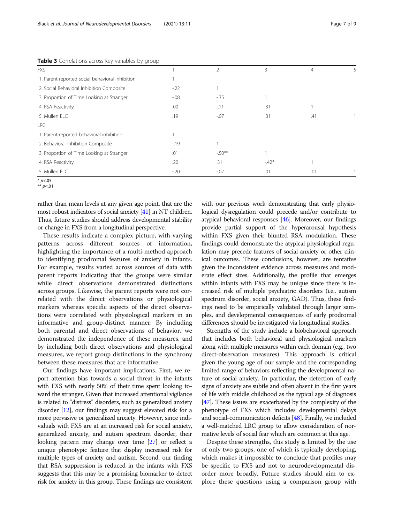| <b>TWAIL 3</b> CONCIGEORD across they variables by group |         |         |        |     |  |  |  |
|----------------------------------------------------------|---------|---------|--------|-----|--|--|--|
| <b>FXS</b>                                               |         | 2       | 3      | 4   |  |  |  |
| 1. Parent-reported social behavioral inhibition          |         |         |        |     |  |  |  |
| 2. Social Behavioral Inhibition Composite                | $-22$   |         |        |     |  |  |  |
| 3. Proportion of Time Looking at Stranger                | $-0.08$ | $-35$   |        |     |  |  |  |
| 4. RSA Reactivity                                        | .00     | $-11$   | .31    |     |  |  |  |
| 5. Mullen ELC                                            | .19     | $-.07$  | .31    | .41 |  |  |  |
| LRC                                                      |         |         |        |     |  |  |  |
| 1. Parent-reported behavioral inhibition                 |         |         |        |     |  |  |  |
| 2. Behavioral Inhibition Composite                       | $-19$   |         |        |     |  |  |  |
| 3. Proportion of Time Looking at Stranger                | .01     | $-50**$ |        |     |  |  |  |
| 4. RSA Reactivity                                        | .20     | .31     | $-42*$ |     |  |  |  |
| 5. Mullen ELC                                            | $-20$   | $-0.07$ | .01    | .01 |  |  |  |
|                                                          |         |         |        |     |  |  |  |

<span id="page-6-0"></span>Table 3 Correlations across key variables by group

 $*$  p<.05

\*\*  $p<.01$ 

rather than mean levels at any given age point, that are the most robust indicators of social anxiety [\[41\]](#page-8-0) in NT children. Thus, future studies should address developmental stability or change in FXS from a longitudinal perspective.

These results indicate a complex picture, with varying patterns across different sources of information, highlighting the importance of a multi-method approach to identifying prodromal features of anxiety in infants. For example, results varied across sources of data with parent reports indicating that the groups were similar while direct observations demonstrated distinctions across groups. Likewise, the parent reports were not correlated with the direct observations or physiological markers whereas specific aspects of the direct observations were correlated with physiological markers in an informative and group-distinct manner. By including both parental and direct observations of behavior, we demonstrated the independence of these measures, and by including both direct observations and physiological measures, we report group distinctions in the synchrony between these measures that are informative.

Our findings have important implications. First, we report attention bias towards a social threat in the infants with FXS with nearly 50% of their time spent looking toward the stranger. Given that increased attentional vigilance is related to "distress" disorders, such as generalized anxiety disorder [[12\]](#page-7-0), our findings may suggest elevated risk for a more pervasive or generalized anxiety. However, since individuals with FXS are at an increased risk for social anxiety, generalized anxiety, and autism spectrum disorder, their looking pattern may change over time [\[27](#page-8-0)] or reflect a unique phenotypic feature that display increased risk for multiple types of anxiety and autism. Second, our finding that RSA suppression is reduced in the infants with FXS suggests that this may be a promising biomarker to detect risk for anxiety in this group. These findings are consistent

with our previous work demonstrating that early physiological dysregulation could precede and/or contribute to atypical behavioral responses [\[46\]](#page-8-0). Moreover, our findings provide partial support of the hyperarousal hypothesis within FXS given their blunted RSA modulation. These findings could demonstrate the atypical physiological regulation may precede features of social anxiety or other clinical outcomes. These conclusions, however, are tentative given the inconsistent evidence across measures and moderate effect sizes. Additionally, the profile that emerges within infants with FXS may be unique since there is increased risk of multiple psychiatric disorders (i.e., autism spectrum disorder, social anxiety, GAD). Thus, these findings need to be empirically validated through larger samples, and developmental consequences of early prodromal differences should be investigated via longitudinal studies.

Strengths of the study include a biobehavioral approach that includes both behavioral and physiological markers along with multiple measures within each domain (e.g., two direct-observation measures). This approach is critical given the young age of our sample and the corresponding limited range of behaviors reflecting the developmental nature of social anxiety. In particular, the detection of early signs of anxiety are subtle and often absent in the first years of life with middle childhood as the typical age of diagnosis [[47](#page-8-0)]. These issues are exacerbated by the complexity of the phenotype of FXS which includes developmental delays and social-communication deficits [\[48\]](#page-8-0). Finally, we included a well-matched LRC group to allow consideration of normative levels of social fear which are common at this age.

Despite these strengths, this study is limited by the use of only two groups, one of which is typically developing, which makes it impossible to conclude that profiles may be specific to FXS and not to neurodevelopmental disorder more broadly. Future studies should aim to explore these questions using a comparison group with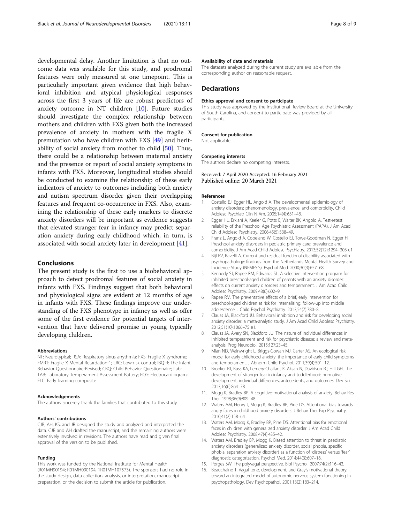<span id="page-7-0"></span>developmental delay. Another limitation is that no outcome data was available for this study, and prodromal features were only measured at one timepoint. This is particularly important given evidence that high behavioral inhibition and atypical physiological responses across the first 3 years of life are robust predictors of anxiety outcome in NT children [10]. Future studies should investigate the complex relationship between mothers and children with FXS given both the increased prevalence of anxiety in mothers with the fragile X premutation who have children with FXS [[49](#page-8-0)] and heritability of social anxiety from mother to child [[50\]](#page-8-0). Thus, there could be a relationship between maternal anxiety and the presence or report of social anxiety symptoms in infants with FXS. Moreover, longitudinal studies should be conducted to examine the relationship of these early indicators of anxiety to outcomes including both anxiety and autism spectrum disorder given their overlapping features and frequent co-occurrence in FXS. Also, examining the relationship of these early markers to discrete anxiety disorders will be important as evidence suggests that elevated stranger fear in infancy may predict separation anxiety during early childhood which, in turn, is associated with social anxiety later in development [\[41](#page-8-0)].

# Conclusions

The present study is the first to use a biobehavioral approach to detect prodromal features of social anxiety in infants with FXS. Findings suggest that both behavioral and physiological signs are evident at 12 months of age in infants with FXS. These findings improve our understanding of the FXS phenotype in infancy as well as offer some of the first evidence for potential targets of intervention that have delivered promise in young typically developing children.

#### Abbreviations

NT: Neurotypical; RSA: Respiratory sinus arrythmia; FXS: Fragile X syndrome; FMR1: Fragile X Mental Retardation-1; LRC: Low-risk control; IBQ-R: The Infant Behavior Questionnaire-Revised; CBQ: Child Behavior Questionnaire; Lab-TAB: Laboratory Temperament Assessment Battery; ECG: Electrocardiogram; ELC: Early learning composite

#### Acknowledgements

The authors sincerely thank the families that contributed to this study.

#### Authors' contributions

CJB, AH, KS, and JR designed the study and analyzed and interpreted the data. CJB and AH drafted the manuscript, and the remaining authors were extensively involved in revisions. The authors have read and given final approval of the version to be published.

# Funding

This work was funded by the National Institute for Mental Health (R01MH90194; R01MH090194; 1R01MH107573). The sponsors had no role in the study design, data collection, analysis, or interpretation, manuscript preparation, or the decision to submit the article for publication.

#### Availability of data and materials

The datasets analyzed during the current study are available from the corresponding author on reasonable request.

#### **Declarations**

#### Ethics approval and consent to participate

This study was approved by the Institutional Review Board at the University of South Carolina, and consent to participate was provided by all participants.

#### Consent for publication

Not applicable

#### Competing interests

The authors declare no competing interests.

# Received: 7 April 2020 Accepted: 16 February 2021 Published online: 20 March 2021

#### References

- 1. Costello EJ, Egger HL, Angold A. The developmental epidemiology of anxiety disorders: phenomenology, prevalence, and comorbidity. Child Adolesc Psychiatr Clin N Am. 2005;14(4):631–48.
- 2. Egger HL, Erklani A, Keeler G, Potts E, Walter BK, Angold A. Test-retest reliability of the Preschool Age Psychiatric Assessment (PAPA). J Am Acad Child Adolesc Psychiatry. 2006;45(5):538–49.
- 3. Franz L, Angold A, Copeland W, Costello EJ, Towe-Goodman N, Egger H. Preschool anxiety disorders in pediatric primary care: prevalence and comorbidity. J Am Acad Child Adolesc Psychiatry. 2013;52(12):1294–303 e1.
- 4. Bijl RV, Ravelli A. Current and residual functional disability associated with psychopathology: findings from the Netherlands Mental Health Survey and Incidence Study (NEMESIS). Psychol Med. 2000;30(3):657–68.
- 5. Kennedy SJ, Rapee RM, Edwards SL. A selective intervention program for inhibited preschool-aged children of parents with an anxiety disorder: effects on current anxiety disorders and temperament. J Am Acad Child Adolesc Psychiatry. 2009;48(6):602–9.
- 6. Rapee RM. The preventative effects of a brief, early intervention for preschool-aged children at risk for internalising: follow-up into middle adolescence. J Child Psychol Psychiatry. 2013;54(7):780–8.
- 7. Clauss JA, Blackford JU. Behavioral inhibition and risk for developing social anxiety disorder: a meta-analytic study. J Am Acad Child Adolesc Psychiatry. 2012;51(10):1066–75 e1.
- 8. Clauss JA, Avery SN, Blackford JU. The nature of individual differences in inhibited temperament and risk for psychiatric disease: a review and metaanalysis. Prog Neurobiol. 2015;127:23–45.
- 9. Mian ND, Wainwright L, Briggs-Gowan MJ, Carter AS. An ecological risk model for early childhood anxiety: the importance of early child symptoms and temperament. J Abnorm Child Psychol. 2011;39(4):501–12.
- 10. Brooker RJ, Buss KA, Lemery-Chalfant K, Aksan N, Davidson RJ, Hill GH. The development of stranger fear in infancy and toddlerhood: normative development, individual differences, antecedents, and outcomes. Dev Sci. 2013;16(6):864–78.
- 11. Mogg K, Bradley BP. A cognitive-motivational analysis of anxiety. Behav Res Ther. 1998;36(9):809–48.
- 12. Waters AM, Henry J, Mogg K, Bradley BP, Pine DS. Attentional bias towards angry faces in childhood anxiety disorders. J Behav Ther Exp Psychiatry. 2010;41(2):158–64.
- 13. Waters AM, Mogg K, Bradley BP, Pine DS. Attentional bias for emotional faces in children with generalized anxiety disorder. J Am Acad Child Adolesc Psychiatry. 2008;47(4):435–42.
- 14. Waters AM, Bradley BP, Mogg K. Biased attention to threat in paediatric anxiety disorders (generalized anxiety disorder, social phobia, specific phobia, separation anxiety disorder) as a function of 'distress' versus 'fear' diagnostic categorization. Psychol Med. 2014;44(3):607–16.
- 15. Porges SW. The polyvagal perspective. Biol Psychol. 2007;74(2):116–43.
- 16. Beauchaine T. Vagal tone, development, and Gray's motivational theory: toward an integrated model of autonomic nervous system functioning in psychopathology. Dev Psychopathol. 2001;13(2):183–214.